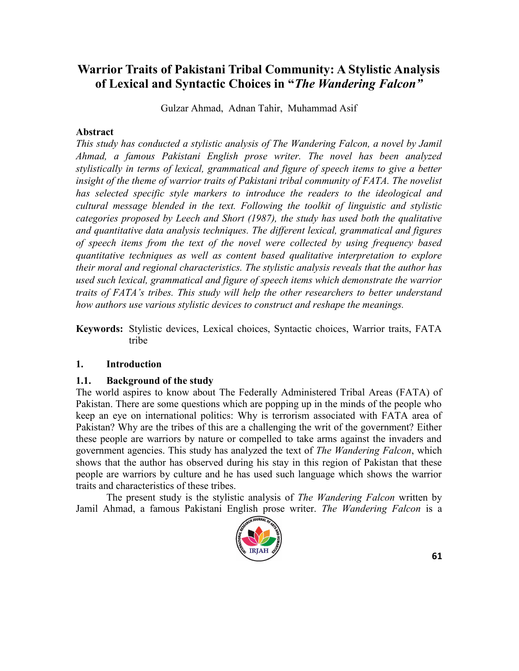# **Warrior Traits of Pakistani Tribal Community: A Stylistic Analysis of Lexical and Syntactic Choices in "***The Wandering Falcon"*

Gulzar Ahmad, Adnan Tahir, Muhammad Asif

#### **Abstract**

*This study has conducted a stylistic analysis of The Wandering Falcon, a novel by Jamil Ahmad, a famous Pakistani English prose writer. The novel has been analyzed stylistically in terms of lexical, grammatical and figure of speech items to give a better*  insight of the theme of warrior traits of Pakistani tribal community of FATA. The novelist *has selected specific style markers to introduce the readers to the ideological and cultural message blended in the text. Following the toolkit of linguistic and stylistic categories proposed by Leech and Short (1987), the study has used both the qualitative and quantitative data analysis techniques. The different lexical, grammatical and figures of speech items from the text of the novel were collected by using frequency based quantitative techniques as well as content based qualitative interpretation to explore their moral and regional characteristics. The stylistic analysis reveals that the author has used such lexical, grammatical and figure of speech items which demonstrate the warrior traits of FATA's tribes. This study will help the other researchers to better understand how authors use various stylistic devices to construct and reshape the meanings.*

**Keywords:** Stylistic devices, Lexical choices, Syntactic choices, Warrior traits, FATA tribe

### **1. Introduction**

### **1.1. Background of the study**

The world aspires to know about The Federally Administered Tribal Areas (FATA) of Pakistan. There are some questions which are popping up in the minds of the people who keep an eye on international politics: Why is terrorism associated with FATA area of Pakistan? Why are the tribes of this are a challenging the writ of the government? Either these people are warriors by nature or compelled to take arms against the invaders and government agencies. This study has analyzed the text of *The Wandering Falcon*, which shows that the author has observed during his stay in this region of Pakistan that these people are warriors by culture and he has used such language which shows the warrior traits and characteristics of these tribes.

The present study is the stylistic analysis of *The Wandering Falcon* written by Jamil Ahmad, a famous Pakistani English prose writer. *The Wandering Falcon* is a

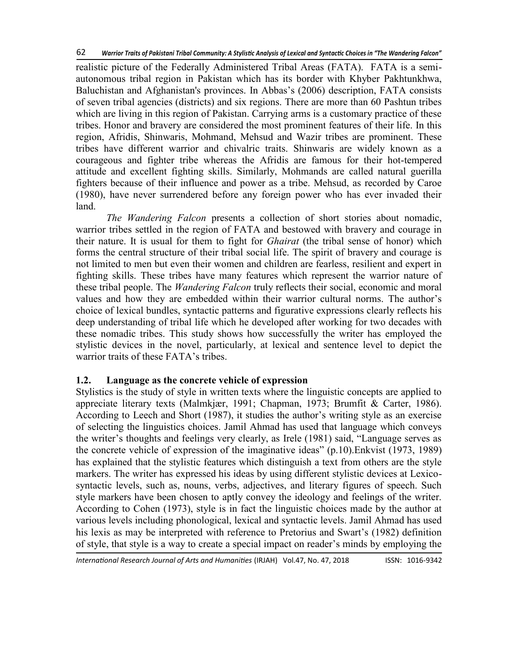realistic picture of the Federally Administered Tribal Areas (FATA). FATA is a semiautonomous tribal region in Pakistan which has its border with Khyber Pakhtunkhwa, Baluchistan and Afghanistan's provinces. In Abbas's (2006) description, FATA consists of seven tribal agencies (districts) and six regions. There are more than 60 Pashtun tribes which are living in this region of Pakistan. Carrying arms is a customary practice of these tribes. Honor and bravery are considered the most prominent features of their life. In this region, Afridis, Shinwaris, Mohmand, Mehsud and Wazir tribes are prominent. These tribes have different warrior and chivalric traits. Shinwaris are widely known as a courageous and fighter tribe whereas the Afridis are famous for their hot-tempered attitude and excellent fighting skills. Similarly, Mohmands are called natural guerilla fighters because of their influence and power as a tribe. Mehsud, as recorded by Caroe (1980), have never surrendered before any foreign power who has ever invaded their land.

*The Wandering Falcon* presents a collection of short stories about nomadic, warrior tribes settled in the region of FATA and bestowed with bravery and courage in their nature. It is usual for them to fight for *Ghairat* (the tribal sense of honor) which forms the central structure of their tribal social life. The spirit of bravery and courage is not limited to men but even their women and children are fearless, resilient and expert in fighting skills. These tribes have many features which represent the warrior nature of these tribal people. The *Wandering Falcon* truly reflects their social, economic and moral values and how they are embedded within their warrior cultural norms. The author's choice of lexical bundles, syntactic patterns and figurative expressions clearly reflects his deep understanding of tribal life which he developed after working for two decades with these nomadic tribes. This study shows how successfully the writer has employed the stylistic devices in the novel, particularly, at lexical and sentence level to depict the warrior traits of these FATA's tribes.

### **1.2. Language as the concrete vehicle of expression**

Stylistics is the study of style in written texts where the linguistic concepts are applied to appreciate literary texts (Malmkjær, 1991; Chapman, 1973; Brumfit & Carter, 1986). According to Leech and Short (1987), it studies the author's writing style as an exercise of selecting the linguistics choices. Jamil Ahmad has used that language which conveys the writer's thoughts and feelings very clearly, as Irele (1981) said, "Language serves as the concrete vehicle of expression of the imaginative ideas"  $(p.10)$ . Enkvist  $(1973, 1989)$ has explained that the stylistic features which distinguish a text from others are the style markers. The writer has expressed his ideas by using different stylistic devices at Lexicosyntactic levels, such as, nouns, verbs, adjectives, and literary figures of speech. Such style markers have been chosen to aptly convey the ideology and feelings of the writer. According to Cohen (1973), style is in fact the linguistic choices made by the author at various levels including phonological, lexical and syntactic levels. Jamil Ahmad has used his lexis as may be interpreted with reference to Pretorius and Swart's (1982) definition of style, that style is a way to create a special impact on reader's minds by employing the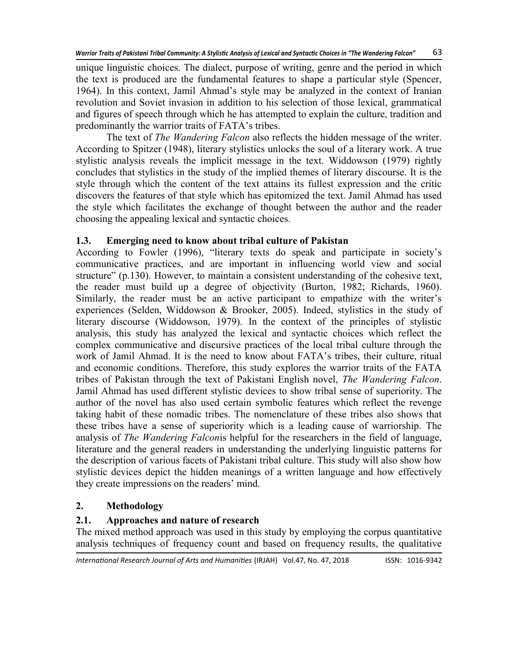unique linguistic choices. The dialect, purpose of writing, genre and the period in which the text is produced are the fundamental features to shape a particular style (Spencer, 1964). In this context, Jamil Ahmad's style may be analyzed in the context of Iranian revolution and Soviet invasion in addition to his selection of those lexical, grammatical and figures of speech through which he has attempted to explain the culture, tradition and predominantly the warrior traits of FATA's tribes.

The text of *The Wandering Falcon* also reflects the hidden message of the writer. According to Spitzer (1948), literary stylistics unlocks the soul of a literary work. A true stylistic analysis reveals the implicit message in the text. Widdowson (1979) rightly concludes that stylistics in the study of the implied themes of literary discourse. It is the style through which the content of the text attains its fullest expression and the critic discovers the features of that style which has epitomized the text. Jamil Ahmad has used the style which facilitates the exchange of thought between the author and the reader choosing the appealing lexical and syntactic choices.

# **1.3. Emerging need to know about tribal culture of Pakistan**

According to Fowler (1996), "literary texts do speak and participate in society's communicative practices, and are important in influencing world view and social structure" (p.130). However, to maintain a consistent understanding of the cohesive text, the reader must build up a degree of objectivity (Burton, 1982; Richards, 1960). Similarly, the reader must be an active participant to empathize with the writer's experiences (Selden, Widdowson & Brooker, 2005). Indeed, stylistics in the study of literary discourse (Widdowson, 1979). In the context of the principles of stylistic analysis, this study has analyzed the lexical and syntactic choices which reflect the complex communicative and discursive practices of the local tribal culture through the work of Jamil Ahmad. It is the need to know about FATA's tribes, their culture, ritual and economic conditions. Therefore, this study explores the warrior traits of the FATA tribes of Pakistan through the text of Pakistani English novel, *The Wandering Falcon*. Jamil Ahmad has used different stylistic devices to show tribal sense of superiority. The author of the novel has also used certain symbolic features which reflect the revenge taking habit of these nomadic tribes. The nomenclature of these tribes also shows that these tribes have a sense of superiority which is a leading cause of warriorship. The analysis of *The Wandering Falcon*is helpful for the researchers in the field of language, literature and the general readers in understanding the underlying linguistic patterns for the description of various facets of Pakistani tribal culture. This study will also show how stylistic devices depict the hidden meanings of a written language and how effectively they create impressions on the readers' mind.

# **2. Methodology**

# **2.1. Approaches and nature of research**

The mixed method approach was used in this study by employing the corpus quantitative analysis techniques of frequency count and based on frequency results, the qualitative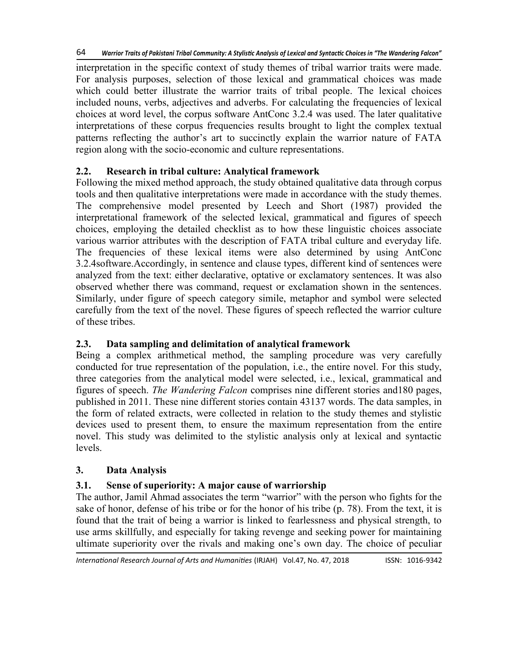interpretation in the specific context of study themes of tribal warrior traits were made. For analysis purposes, selection of those lexical and grammatical choices was made which could better illustrate the warrior traits of tribal people. The lexical choices included nouns, verbs, adjectives and adverbs. For calculating the frequencies of lexical choices at word level, the corpus software AntConc 3.2.4 was used. The later qualitative interpretations of these corpus frequencies results brought to light the complex textual patterns reflecting the author's art to succinctly explain the warrior nature of FATA region along with the socio-economic and culture representations.

## **2.2. Research in tribal culture: Analytical framework**

Following the mixed method approach, the study obtained qualitative data through corpus tools and then qualitative interpretations were made in accordance with the study themes. The comprehensive model presented by Leech and Short (1987) provided the interpretational framework of the selected lexical, grammatical and figures of speech choices, employing the detailed checklist as to how these linguistic choices associate various warrior attributes with the description of FATA tribal culture and everyday life. The frequencies of these lexical items were also determined by using AntConc 3.2.4software.Accordingly, in sentence and clause types, different kind of sentences were analyzed from the text: either declarative, optative or exclamatory sentences. It was also observed whether there was command, request or exclamation shown in the sentences. Similarly, under figure of speech category simile, metaphor and symbol were selected carefully from the text of the novel. These figures of speech reflected the warrior culture of these tribes.

## **2.3. Data sampling and delimitation of analytical framework**

Being a complex arithmetical method, the sampling procedure was very carefully conducted for true representation of the population, i.e., the entire novel. For this study, three categories from the analytical model were selected, i.e., lexical, grammatical and figures of speech. *The Wandering Falcon* comprises nine different stories and180 pages, published in 2011. These nine different stories contain 43137 words. The data samples, in the form of related extracts, were collected in relation to the study themes and stylistic devices used to present them, to ensure the maximum representation from the entire novel. This study was delimited to the stylistic analysis only at lexical and syntactic levels.

## **3. Data Analysis**

# **3.1. Sense of superiority: A major cause of warriorship**

The author, Jamil Ahmad associates the term "warrior" with the person who fights for the sake of honor, defense of his tribe or for the honor of his tribe (p. 78). From the text, it is found that the trait of being a warrior is linked to fearlessness and physical strength, to use arms skillfully, and especially for taking revenge and seeking power for maintaining ultimate superiority over the rivals and making one's own day. The choice of peculiar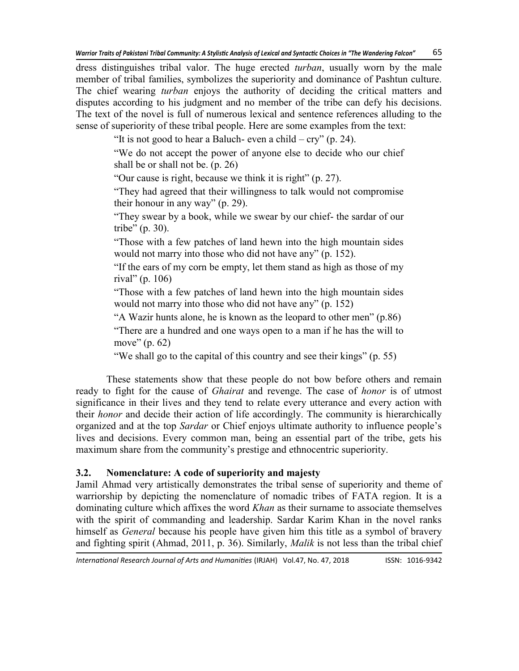dress distinguishes tribal valor. The huge erected *turban*, usually worn by the male member of tribal families, symbolizes the superiority and dominance of Pashtun culture. The chief wearing *turban* enjoys the authority of deciding the critical matters and disputes according to his judgment and no member of the tribe can defy his decisions. The text of the novel is full of numerous lexical and sentence references alluding to the sense of superiority of these tribal people. Here are some examples from the text:

"It is not good to hear a Baluch- even a child –  $\text{cry}$ " (p. 24).

"We do not accept the power of anyone else to decide who our chief shall be or shall not be. (p. 26)

"Our cause is right, because we think it is right"  $(p, 27)$ .

―They had agreed that their willingness to talk would not compromise their honour in any way"  $(p. 29)$ .

"They swear by a book, while we swear by our chief- the sardar of our tribe" (p. 30).

―Those with a few patches of land hewn into the high mountain sides would not marry into those who did not have any" (p. 152).

"If the ears of my corn be empty, let them stand as high as those of my rival" (p. 106)

―Those with a few patches of land hewn into the high mountain sides would not marry into those who did not have any"  $(p. 152)$ 

"A Wazir hunts alone, he is known as the leopard to other men"  $(p.86)$ 

―There are a hundred and one ways open to a man if he has the will to move"  $(p. 62)$ 

"We shall go to the capital of this country and see their kings" (p. 55)

These statements show that these people do not bow before others and remain ready to fight for the cause of *Ghairat* and revenge. The case of *honor* is of utmost significance in their lives and they tend to relate every utterance and every action with their *honor* and decide their action of life accordingly. The community is hierarchically organized and at the top *Sardar* or Chief enjoys ultimate authority to influence people's lives and decisions. Every common man, being an essential part of the tribe, gets his maximum share from the community's prestige and ethnocentric superiority.

# **3.2. Nomenclature: A code of superiority and majesty**

Jamil Ahmad very artistically demonstrates the tribal sense of superiority and theme of warriorship by depicting the nomenclature of nomadic tribes of FATA region. It is a dominating culture which affixes the word *Khan* as their surname to associate themselves with the spirit of commanding and leadership. Sardar Karim Khan in the novel ranks himself as *General* because his people have given him this title as a symbol of bravery and fighting spirit (Ahmad, 2011, p. 36). Similarly, *Malik* is not less than the tribal chief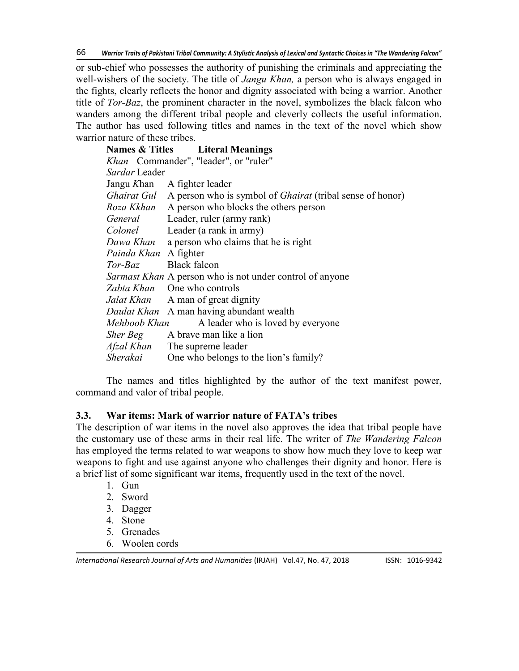or sub-chief who possesses the authority of punishing the criminals and appreciating the well-wishers of the society. The title of *Jangu Khan,* a person who is always engaged in the fights, clearly reflects the honor and dignity associated with being a warrior. Another title of *Tor-Baz*, the prominent character in the novel, symbolizes the black falcon who wanders among the different tribal people and cleverly collects the useful information. The author has used following titles and names in the text of the novel which show warrior nature of these tribes.

|                       | <b>Names &amp; Titles</b> Literal Meanings                            |  |  |  |  |
|-----------------------|-----------------------------------------------------------------------|--|--|--|--|
|                       | Khan Commander", "leader", or "ruler"                                 |  |  |  |  |
| Sardar Leader         |                                                                       |  |  |  |  |
|                       | Jangu Khan A fighter leader                                           |  |  |  |  |
|                       | Ghairat Gul A person who is symbol of Ghairat (tribal sense of honor) |  |  |  |  |
|                       | Roza Kkhan A person who blocks the others person                      |  |  |  |  |
| General               | Leader, ruler (army rank)                                             |  |  |  |  |
| Colonel               | Leader (a rank in army)                                               |  |  |  |  |
| Dawa Khan             | a person who claims that he is right                                  |  |  |  |  |
| Painda Khan A fighter |                                                                       |  |  |  |  |
| Tor-Baz               | Black falcon                                                          |  |  |  |  |
|                       | <i>Sarmast Khan</i> A person who is not under control of anyone       |  |  |  |  |
|                       | Zabta Khan One who controls                                           |  |  |  |  |
|                       | <i>Jalat Khan</i> A man of great dignity                              |  |  |  |  |
|                       | Daulat Khan A man having abundant wealth                              |  |  |  |  |
| Mehboob Khan          | A leader who is loved by everyone                                     |  |  |  |  |
| Sher Beg              | A brave man like a lion                                               |  |  |  |  |
| Afzal Khan            | The supreme leader                                                    |  |  |  |  |
| Sherakai              | One who belongs to the lion's family?                                 |  |  |  |  |

The names and titles highlighted by the author of the text manifest power, command and valor of tribal people.

#### **3.3. War items: Mark of warrior nature of FATA's tribes**

The description of war items in the novel also approves the idea that tribal people have the customary use of these arms in their real life. The writer of *The Wandering Falcon*  has employed the terms related to war weapons to show how much they love to keep war weapons to fight and use against anyone who challenges their dignity and honor. Here is a brief list of some significant war items, frequently used in the text of the novel.

- 1. Gun
- 2. Sword
- 3. Dagger
- 4. Stone
- 5. Grenades
- 6. Woolen cords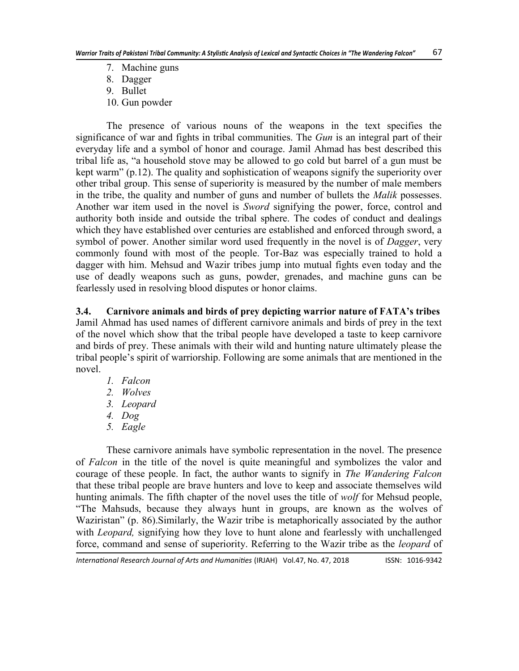- 7. Machine guns
- 8. Dagger
- 9. Bullet
- 10. Gun powder

The presence of various nouns of the weapons in the text specifies the significance of war and fights in tribal communities. The *Gun* is an integral part of their everyday life and a symbol of honor and courage. Jamil Ahmad has best described this tribal life as, "a household stove may be allowed to go cold but barrel of a gun must be kept warm" (p.12). The quality and sophistication of weapons signify the superiority over other tribal group. This sense of superiority is measured by the number of male members in the tribe, the quality and number of guns and number of bullets the *Malik* possesses. Another war item used in the novel is *Sword* signifying the power, force, control and authority both inside and outside the tribal sphere. The codes of conduct and dealings which they have established over centuries are established and enforced through sword, a symbol of power. Another similar word used frequently in the novel is of *Dagger*, very commonly found with most of the people. Tor-Baz was especially trained to hold a dagger with him. Mehsud and Wazir tribes jump into mutual fights even today and the use of deadly weapons such as guns, powder, grenades, and machine guns can be fearlessly used in resolving blood disputes or honor claims.

**3.4. Carnivore animals and birds of prey depicting warrior nature of FATA's tribes** Jamil Ahmad has used names of different carnivore animals and birds of prey in the text of the novel which show that the tribal people have developed a taste to keep carnivore and birds of prey. These animals with their wild and hunting nature ultimately please the tribal people's spirit of warriorship. Following are some animals that are mentioned in the novel.

- *1. Falcon*
- *2. Wolves*
- *3. Leopard*
- *4. Dog*
- *5. Eagle*

These carnivore animals have symbolic representation in the novel. The presence of *Falcon* in the title of the novel is quite meaningful and symbolizes the valor and courage of these people. In fact, the author wants to signify in *The Wandering Falcon* that these tribal people are brave hunters and love to keep and associate themselves wild hunting animals. The fifth chapter of the novel uses the title of *wolf* for Mehsud people, ―The Mahsuds, because they always hunt in groups, are known as the wolves of Waziristan" (p. 86). Similarly, the Wazir tribe is metaphorically associated by the author with *Leopard,* signifying how they love to hunt alone and fearlessly with unchallenged force, command and sense of superiority. Referring to the Wazir tribe as the *leopard* of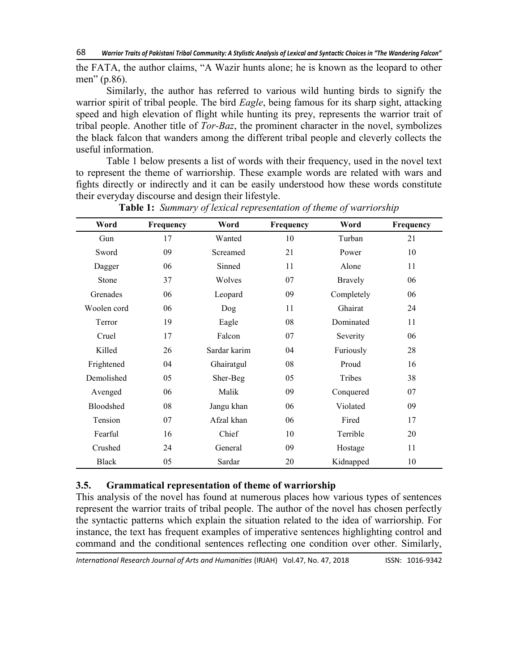the FATA, the author claims, "A Wazir hunts alone; he is known as the leopard to other men" (p.86).

Similarly, the author has referred to various wild hunting birds to signify the warrior spirit of tribal people. The bird *Eagle*, being famous for its sharp sight, attacking speed and high elevation of flight while hunting its prey, represents the warrior trait of tribal people. Another title of *Tor-Baz*, the prominent character in the novel, symbolizes the black falcon that wanders among the different tribal people and cleverly collects the useful information.

Table 1 below presents a list of words with their frequency, used in the novel text to represent the theme of warriorship. These example words are related with wars and fights directly or indirectly and it can be easily understood how these words constitute their everyday discourse and design their lifestyle.

| Word         | Frequency | Word         | Frequency | Word           | Frequency |
|--------------|-----------|--------------|-----------|----------------|-----------|
| Gun          | 17        | Wanted       | 10        | Turban         | 21        |
| Sword        | 09        | Screamed     | 21        | Power          | 10        |
| Dagger       | 06        | Sinned       | 11        | Alone          | 11        |
| Stone        | 37        | Wolves       | 07        | <b>Bravely</b> | 06        |
| Grenades     | 06        | Leopard      | 09        | Completely     | 06        |
| Woolen cord  | 06        | Dog          | 11        | Ghairat        | 24        |
| Terror       | 19        | Eagle        | 08        | Dominated      | 11        |
| Cruel        | 17        | Falcon       | 07        | Severity       | 06        |
| Killed       | 26        | Sardar karim | 04        | Furiously      | 28        |
| Frightened   | 04        | Ghairatgul   | 08        | Proud          | 16        |
| Demolished   | 05        | Sher-Beg     | 05        | Tribes         | 38        |
| Avenged      | 06        | Malik        | 09        | Conquered      | 07        |
| Bloodshed    | 08        | Jangu khan   | 06        | Violated       | 09        |
| Tension      | 07        | Afzal khan   | 06        | Fired          | 17        |
| Fearful      | 16        | Chief        | 10        | Terrible       | 20        |
| Crushed      | 24        | General      | 09        | Hostage        | 11        |
| <b>Black</b> | 05        | Sardar       | 20        | Kidnapped      | 10        |

**Table 1:** *Summary of lexical representation of theme of warriorship*

### **3.5. Grammatical representation of theme of warriorship**

This analysis of the novel has found at numerous places how various types of sentences represent the warrior traits of tribal people. The author of the novel has chosen perfectly the syntactic patterns which explain the situation related to the idea of warriorship. For instance, the text has frequent examples of imperative sentences highlighting control and command and the conditional sentences reflecting one condition over other. Similarly,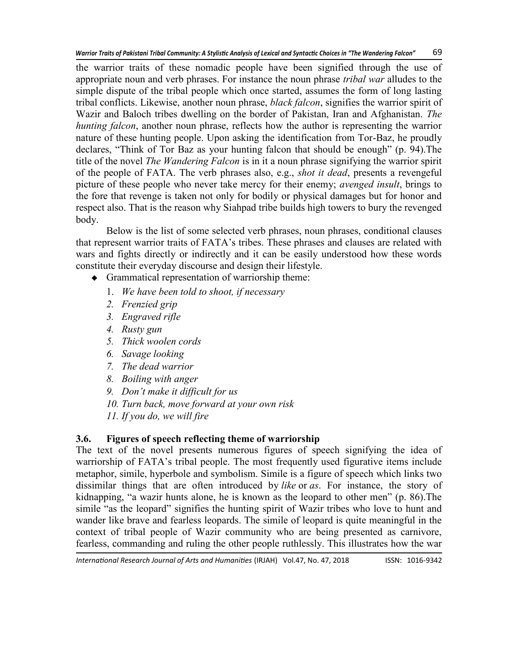the warrior traits of these nomadic people have been signified through the use of appropriate noun and verb phrases. For instance the noun phrase *tribal war* alludes to the simple dispute of the tribal people which once started, assumes the form of long lasting tribal conflicts. Likewise, another noun phrase, *black falcon*, signifies the warrior spirit of Wazir and Baloch tribes dwelling on the border of Pakistan, Iran and Afghanistan. *The hunting falcon*, another noun phrase, reflects how the author is representing the warrior nature of these hunting people. Upon asking the identification from Tor-Baz, he proudly declares, "Think of Tor Baz as your hunting falcon that should be enough" (p. 94). The title of the novel *The Wandering Falcon* is in it a noun phrase signifying the warrior spirit of the people of FATA. The verb phrases also, e.g., *shot it dead*, presents a revengeful picture of these people who never take mercy for their enemy; *avenged insult*, brings to the fore that revenge is taken not only for bodily or physical damages but for honor and respect also. That is the reason why Siahpad tribe builds high towers to bury the revenged body.

Below is the list of some selected verb phrases, noun phrases, conditional clauses that represent warrior traits of FATA's tribes. These phrases and clauses are related with wars and fights directly or indirectly and it can be easily understood how these words constitute their everyday discourse and design their lifestyle.

Grammatical representation of warriorship theme:

- 1. *We have been told to shoot, if necessary*
- *2. Frenzied grip*
- *3. Engraved rifle*
- *4. Rusty gun*
- *5. Thick woolen cords*
- *6. Savage looking*
- *7. The dead warrior*
- *8. Boiling with anger*
- *9. Don't make it difficult for us*
- *10. Turn back, move forward at your own risk*

*11. If you do, we will fire*

# **3.6. Figures of speech reflecting theme of warriorship**

The text of the novel presents numerous figures of speech signifying the idea of warriorship of FATA's tribal people. The most frequently used figurative items include metaphor, simile, hyperbole and symbolism. Simile is a figure of speech which links two dissimilar things that are often introduced by *like* or *as*. For instance, the story of kidnapping, "a wazir hunts alone, he is known as the leopard to other men" (p. 86). The simile "as the leopard" signifies the hunting spirit of Wazir tribes who love to hunt and wander like brave and fearless leopards. The simile of leopard is quite meaningful in the context of tribal people of Wazir community who are being presented as carnivore, fearless, commanding and ruling the other people ruthlessly. This illustrates how the war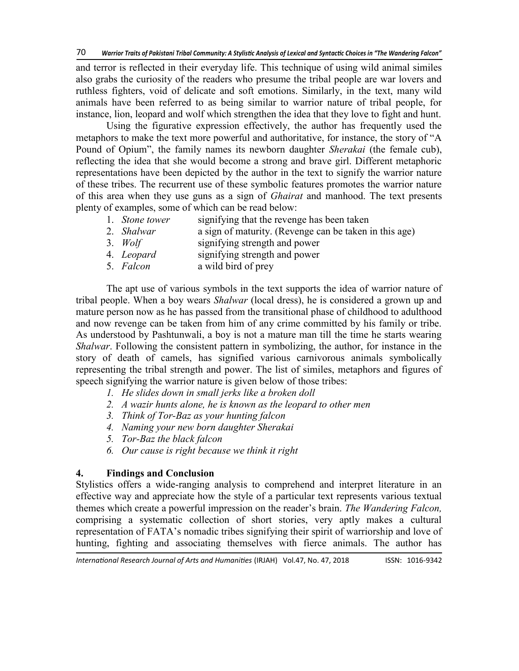and terror is reflected in their everyday life. This technique of using wild animal similes also grabs the curiosity of the readers who presume the tribal people are war lovers and ruthless fighters, void of delicate and soft emotions. Similarly, in the text, many wild animals have been referred to as being similar to warrior nature of tribal people, for instance, lion, leopard and wolf which strengthen the idea that they love to fight and hunt.

Using the figurative expression effectively, the author has frequently used the metaphors to make the text more powerful and authoritative, for instance, the story of "A Pound of Opium", the family names its newborn daughter *Sherakai* (the female cub), reflecting the idea that she would become a strong and brave girl. Different metaphoric representations have been depicted by the author in the text to signify the warrior nature of these tribes. The recurrent use of these symbolic features promotes the warrior nature of this area when they use guns as a sign of *Ghairat* and manhood. The text presents plenty of examples, some of which can be read below:

- 1. *Stone tower* signifying that the revenge has been taken
- 2. *Shalwar* a sign of maturity. (Revenge can be taken in this age)
- 3. *Wolf* signifying strength and power
- 4. *Leopard* signifying strength and power
- 5. *Falcon* a wild bird of prey

The apt use of various symbols in the text supports the idea of warrior nature of tribal people. When a boy wears *Shalwar* (local dress), he is considered a grown up and mature person now as he has passed from the transitional phase of childhood to adulthood and now revenge can be taken from him of any crime committed by his family or tribe. As understood by Pashtunwali, a boy is not a mature man till the time he starts wearing *Shalwar*. Following the consistent pattern in symbolizing, the author, for instance in the story of death of camels, has signified various carnivorous animals symbolically representing the tribal strength and power. The list of similes, metaphors and figures of speech signifying the warrior nature is given below of those tribes:

- *1. He slides down in small jerks like a broken doll*
- *2. A wazir hunts alone, he is known as the leopard to other men*
- *3. Think of Tor-Baz as your hunting falcon*
- *4. Naming your new born daughter Sherakai*
- *5. Tor-Baz the black falcon*
- *6. Our cause is right because we think it right*

# **4. Findings and Conclusion**

Stylistics offers a wide-ranging analysis to comprehend and interpret literature in an effective way and appreciate how the style of a particular text represents various textual themes which create a powerful impression on the reader's brain. *The Wandering Falcon,* comprising a systematic collection of short stories, very aptly makes a cultural representation of FATA's nomadic tribes signifying their spirit of warriorship and love of hunting, fighting and associating themselves with fierce animals. The author has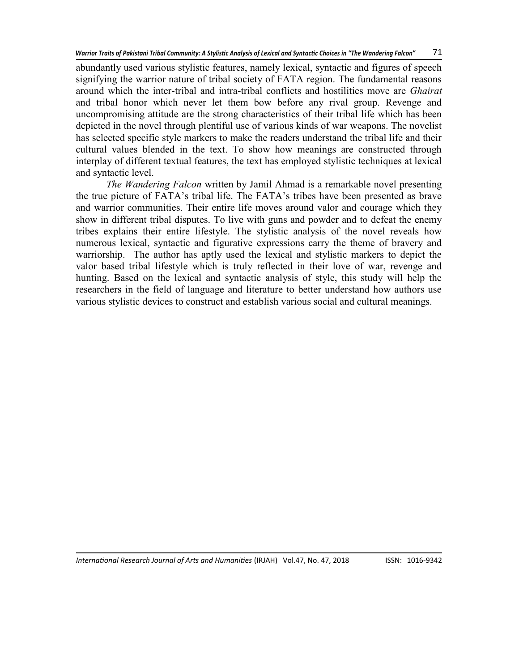abundantly used various stylistic features, namely lexical, syntactic and figures of speech signifying the warrior nature of tribal society of FATA region. The fundamental reasons around which the inter-tribal and intra-tribal conflicts and hostilities move are *Ghairat*  and tribal honor which never let them bow before any rival group. Revenge and uncompromising attitude are the strong characteristics of their tribal life which has been depicted in the novel through plentiful use of various kinds of war weapons. The novelist has selected specific style markers to make the readers understand the tribal life and their cultural values blended in the text. To show how meanings are constructed through interplay of different textual features, the text has employed stylistic techniques at lexical and syntactic level.

*The Wandering Falcon* written by Jamil Ahmad is a remarkable novel presenting the true picture of FATA's tribal life. The FATA's tribes have been presented as brave and warrior communities. Their entire life moves around valor and courage which they show in different tribal disputes. To live with guns and powder and to defeat the enemy tribes explains their entire lifestyle. The stylistic analysis of the novel reveals how numerous lexical, syntactic and figurative expressions carry the theme of bravery and warriorship. The author has aptly used the lexical and stylistic markers to depict the valor based tribal lifestyle which is truly reflected in their love of war, revenge and hunting. Based on the lexical and syntactic analysis of style, this study will help the researchers in the field of language and literature to better understand how authors use various stylistic devices to construct and establish various social and cultural meanings.